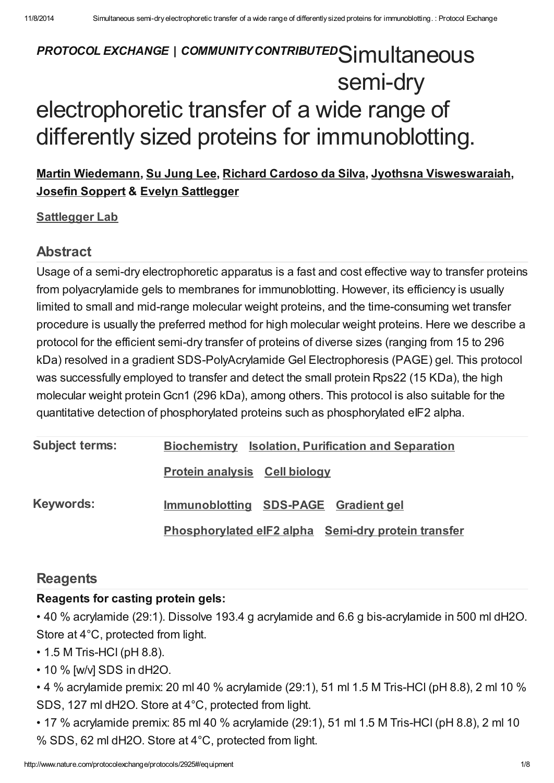# PROTOCOL EXCHANGE | COMMUNITY CONTRIBUTED Simultaneous semi-dry electrophoretic transfer of a wide range of differently sized proteins for immunoblotting.

### Martin [Wiedemann,](javascript:;) Su [Jung](javascript:;) Lee, Richard [Cardoso](javascript:;) da Silva, Jyothsna [Visweswaraiah,](javascript:;) Josefin [Soppert](javascript:;) & Evelyn [Sattlegger](javascript:;)

#### **[Sattlegger](http://www.nature.com/protocolexchange/labgroups/525) Lab**

### Abstract

Usage of a semi-dry electrophoretic apparatus is a fast and cost effective way to transfer proteins from polyacrylamide gels to membranes for immunoblotting. However, its efficiency is usually limited to small and mid-range molecular weight proteins, and the time-consuming wet transfer procedure is usually the preferred method for high molecular weight proteins. Here we describe a protocol for the efficient semi-dry transfer of proteins of diverse sizes (ranging from 15 to 296 kDa) resolved in a gradient SDS-PolyAcrylamide Gel Electrophoresis (PAGE) gel. This protocol was successfully employed to transfer and detect the small protein Rps22 (15 KDa), the high molecular weight protein Gcn1 (296 kDa), among others. This protocol is also suitable for the quantitative detection of phosphorylated proteins such as phosphorylated eIF2 alpha.

| <b>Subject terms:</b> | <b>Biochemistry Isolation, Purification and Separation</b> |
|-----------------------|------------------------------------------------------------|
|                       | <b>Protein analysis Cell biology</b>                       |
| <b>Keywords:</b>      | Immunoblotting SDS-PAGE Gradient gel                       |
|                       | Phosphorylated eIF2 alpha Semi-dry protein transfer        |

### **[Reagents](javascript:;)**

### Reagents for casting protein gels:

• 40 % acrylamide (29:1). Dissolve 193.4 g acrylamide and 6.6 g bis-acrylamide in 500 ml dH2O. Store at 4°C, protected from light.

- 1.5 M Tris-HCl (pH 8.8).
- 10 % [w/v] SDS in dH2O.

• 4 % acrylamide premix: 20 ml 40 % acrylamide (29:1), 51 ml 1.5 M Tris-HCl (pH 8.8), 2 ml 10 % SDS, 127 ml dH2O. Store at 4°C, protected from light.

• 17 % acrylamide premix: 85 ml 40 % acrylamide (29:1), 51 ml 1.5 M Tris-HCl (pH 8.8), 2 ml 10 % SDS, 62 ml dH2O. Store at 4°C, protected from light.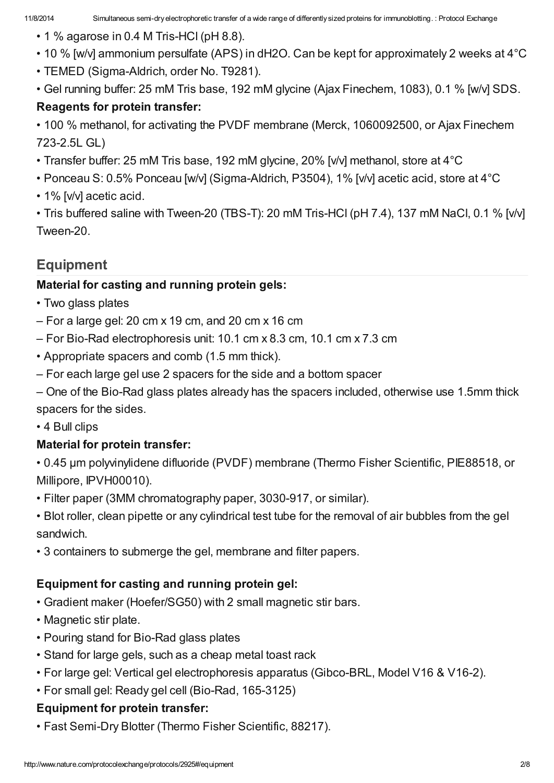- 1 % agarose in 0.4 M Tris-HCl (pH 8.8).
- 10 % [w/v] ammonium persulfate (APS) in dH2O. Can be kept for approximately 2 weeks at 4°C
- TEMED (Sigma-Aldrich, order No. T9281).
- Gel running buffer: 25 mM Tris base, 192 mM glycine (Ajax Finechem, 1083), 0.1 % [w/v] SDS. Reagents for protein transfer:
- 100 % methanol, for activating the PVDF membrane (Merck, 1060092500, or Ajax Finechem 723-2.5L GL)
- Transfer buffer: 25 mM Tris base, 192 mM glycine, 20% [v/v] methanol, store at 4°C
- Ponceau S: 0.5% Ponceau [w/v] (Sigma-Aldrich, P3504), 1% [v/v] acetic acid, store at 4°C
- 1% [v/v] acetic acid.

• Tris buffered saline with Tween-20 (TBS-T): 20 mM Tris-HCl (pH 7.4), 137 mM NaCl, 0.1 % [v/v] Tween-20.

### [Equipment](javascript:;)

### Material for casting and running protein gels:

- Two glass plates
- For a large gel: 20 cm x 19 cm, and 20 cm x 16 cm
- For Bio-Rad electrophoresis unit: 10.1 cm x 8.3 cm, 10.1 cm x 7.3 cm
- Appropriate spacers and comb (1.5 mm thick).
- For each large gel use 2 spacers for the side and a bottom spacer

– One of the Bio-Rad glass plates already has the spacers included, otherwise use 1.5mm thick spacers for the sides.

• 4 Bull clips

### Material for protein transfer:

• 0.45 µm polyvinylidene difluoride (PVDF) membrane (Thermo Fisher Scientific, PIE88518, or Millipore, IPVH00010).

• Filter paper (3MM chromatography paper, 3030-917, or similar).

• Blot roller, clean pipette or any cylindrical test tube for the removal of air bubbles from the gel sandwich.

• 3 containers to submerge the gel, membrane and filter papers.

### Equipment for casting and running protein gel:

- Gradient maker (Hoefer/SG50) with 2 small magnetic stir bars.
- Magnetic stir plate.
- Pouring stand for Bio-Rad glass plates
- Stand for large gels, such as a cheap metal toast rack
- For large gel: Vertical gel electrophoresis apparatus (Gibco-BRL, Model V16 & V16-2).
- For small gel: Ready gel cell (Bio-Rad, 165-3125)

### Equipment for protein transfer:

• Fast Semi-Dry Blotter (Thermo Fisher Scientific, 88217).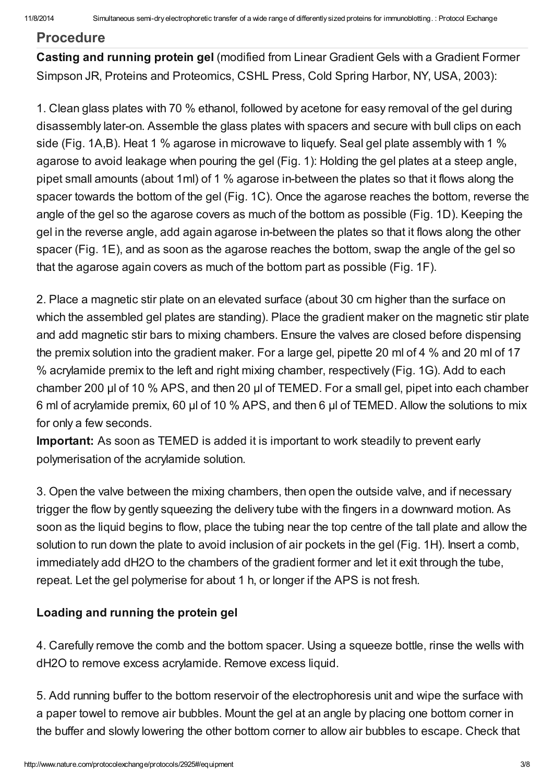#### [Procedure](javascript:;)

Casting and running protein gel (modified from Linear Gradient Gels with a Gradient Former Simpson JR, Proteins and Proteomics, CSHL Press, Cold Spring Harbor, NY, USA, 2003):

1. Clean glass plates with 70 % ethanol, followed by acetone for easy removal of the gel during disassembly later-on. Assemble the glass plates with spacers and secure with bull clips on each side (Fig. 1A,B). Heat 1 % agarose in microwave to liquefy. Seal gel plate assembly with 1 % agarose to avoid leakage when pouring the gel (Fig. 1): Holding the gel plates at a steep angle, pipet small amounts (about 1ml) of 1 % agarose in-between the plates so that it flows along the spacer towards the bottom of the gel (Fig. 1C). Once the agarose reaches the bottom, reverse the angle of the gel so the agarose covers as much of the bottom as possible (Fig. 1D). Keeping the gel in the reverse angle, add again agarose in-between the plates so that it flows along the other spacer (Fig. 1E), and as soon as the agarose reaches the bottom, swap the angle of the gel so that the agarose again covers as much of the bottom part as possible (Fig. 1F).

2. Place a magnetic stir plate on an elevated surface (about 30 cm higher than the surface on which the assembled gel plates are standing). Place the gradient maker on the magnetic stir plate and add magnetic stir bars to mixing chambers. Ensure the valves are closed before dispensing the premix solution into the gradient maker. For a large gel, pipette 20 ml of 4 % and 20 ml of 17 % acrylamide premix to the left and right mixing chamber, respectively (Fig. 1G). Add to each chamber 200 µl of 10 % APS, and then 20 µl of TEMED. For a small gel, pipet into each chamber 6 ml of acrylamide premix, 60 µl of 10 % APS, and then 6 µl of TEMED. Allow the solutions to mix for only a few seconds.

Important: As soon as TEMED is added it is important to work steadily to prevent early polymerisation of the acrylamide solution.

3. Open the valve between the mixing chambers, then open the outside valve, and if necessary trigger the flow by gently squeezing the delivery tube with the fingers in a downward motion. As soon as the liquid begins to flow, place the tubing near the top centre of the tall plate and allow the solution to run down the plate to avoid inclusion of air pockets in the gel (Fig. 1H). Insert a comb, immediately add dH2O to the chambers of the gradient former and let it exit through the tube, repeat. Let the gel polymerise for about 1 h, or longer if the APS is not fresh.

#### Loading and running the protein gel

4. Carefully remove the comb and the bottom spacer. Using a squeeze bottle, rinse the wells with dH2O to remove excess acrylamide. Remove excess liquid.

5. Add running buffer to the bottom reservoir of the electrophoresis unit and wipe the surface with a paper towel to remove air bubbles. Mount the gel at an angle by placing one bottom corner in the buffer and slowly lowering the other bottom corner to allow air bubbles to escape. Check that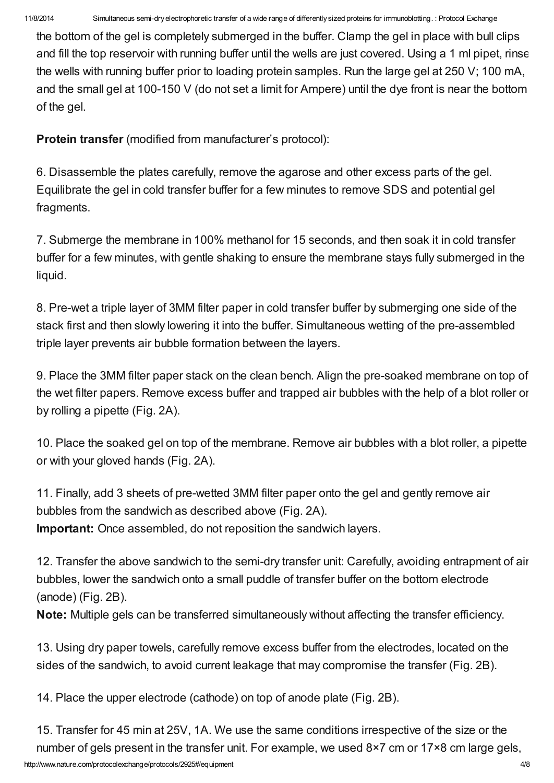the bottom of the gel is completely submerged in the buffer. Clamp the gel in place with bull clips and fill the top reservoir with running buffer until the wells are just covered. Using a 1 ml pipet, rinse the wells with running buffer prior to loading protein samples. Run the large gel at 250 V; 100 mA, and the small gel at 100-150 V (do not set a limit for Ampere) until the dye front is near the bottom of the gel.

Protein transfer (modified from manufacturer's protocol):

6. Disassemble the plates carefully, remove the agarose and other excess parts of the gel. Equilibrate the gel in cold transfer buffer for a few minutes to remove SDS and potential gel fragments.

7. Submerge the membrane in 100% methanol for 15 seconds, and then soak it in cold transfer buffer for a few minutes, with gentle shaking to ensure the membrane stays fully submerged in the liquid.

8. Pre-wet a triple layer of 3MM filter paper in cold transfer buffer by submerging one side of the stack first and then slowly lowering it into the buffer. Simultaneous wetting of the pre-assembled triple layer prevents air bubble formation between the layers.

9. Place the 3MM filter paper stack on the clean bench. Align the pre-soaked membrane on top of the wet filter papers. Remove excess buffer and trapped air bubbles with the help of a blot roller or by rolling a pipette (Fig. 2A).

10. Place the soaked gel on top of the membrane. Remove air bubbles with a blot roller, a pipette or with your gloved hands (Fig. 2A).

11. Finally, add 3 sheets of pre-wetted 3MM filter paper onto the gel and gently remove air bubbles from the sandwich as described above (Fig. 2A). Important: Once assembled, do not reposition the sandwich layers.

12. Transfer the above sandwich to the semi-dry transfer unit: Carefully, avoiding entrapment of air bubbles, lower the sandwich onto a small puddle of transfer buffer on the bottom electrode (anode) (Fig. 2B).

Note: Multiple gels can be transferred simultaneously without affecting the transfer efficiency.

13. Using dry paper towels, carefully remove excess buffer from the electrodes, located on the sides of the sandwich, to avoid current leakage that may compromise the transfer (Fig. 2B).

14. Place the upper electrode (cathode) on top of anode plate (Fig. 2B).

15. Transfer for 45 min at 25V, 1A. We use the same conditions irrespective of the size or the number of gels present in the transfer unit. For example, we used 8×7 cm or 17×8 cm large gels,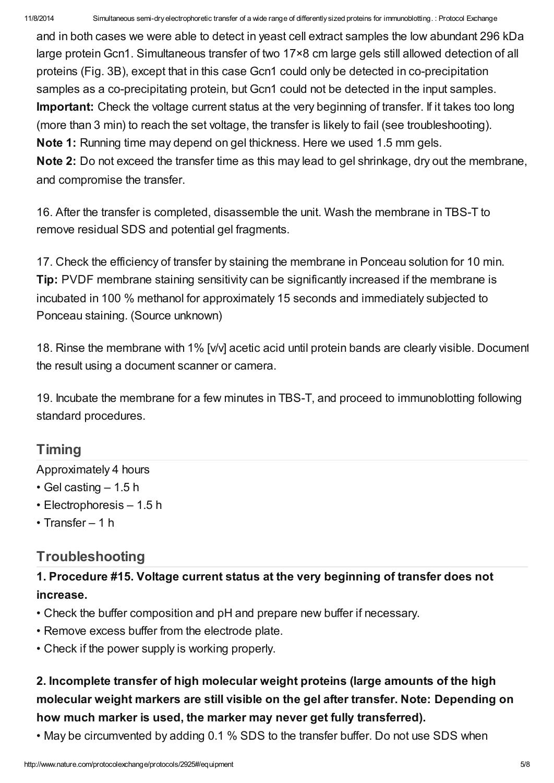and in both cases we were able to detect in yeast cell extract samples the low abundant 296 kDa large protein Gcn1. Simultaneous transfer of two 17×8 cm large gels still allowed detection of all proteins (Fig. 3B), except that in this case Gcn1 could only be detected in co-precipitation samples as a co-precipitating protein, but Gcn1 could not be detected in the input samples. Important: Check the voltage current status at the very beginning of transfer. If it takes too long (more than 3 min) to reach the set voltage, the transfer is likely to fail (see troubleshooting). Note 1: Running time may depend on gel thickness. Here we used 1.5 mm gels. Note 2: Do not exceed the transfer time as this may lead to gel shrinkage, dry out the membrane, and compromise the transfer.

16. After the transfer is completed, disassemble the unit. Wash the membrane in TBS-T to remove residual SDS and potential gel fragments.

17. Check the efficiency of transfer by staining the membrane in Ponceau solution for 10 min. Tip: PVDF membrane staining sensitivity can be significantly increased if the membrane is incubated in 100 % methanol for approximately 15 seconds and immediately subjected to Ponceau staining. (Source unknown)

18. Rinse the membrane with 1% [v/v] acetic acid until protein bands are clearly visible. Document the result using a document scanner or camera.

19. Incubate the membrane for a few minutes in TBS-T, and proceed to immunoblotting following standard procedures.

### **[Timing](javascript:;)**

Approximately 4 hours

- Gel casting 1.5 h
- Electrophoresis 1.5 h
- Transfer 1 h

### **[Troubleshooting](javascript:;)**

1. Procedure #15. Voltage current status at the very beginning of transfer does not increase.

- Check the buffer composition and pH and prepare new buffer if necessary.
- Remove excess buffer from the electrode plate.
- Check if the power supply is working properly.

### 2. Incomplete transfer of high molecular weight proteins (large amounts of the high molecular weight markers are still visible on the gel after transfer. Note: Depending on how much marker is used, the marker may never get fully transferred).

• May be circumvented by adding 0.1 % SDS to the transfer buffer. Do not use SDS when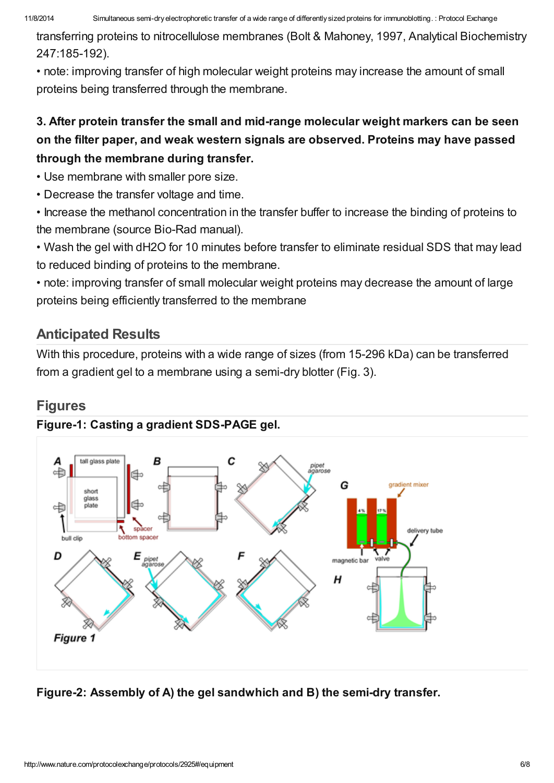transferring proteins to nitrocellulose membranes (Bolt & Mahoney, 1997, Analytical Biochemistry 247:185-192).

• note: improving transfer of high molecular weight proteins may increase the amount of small proteins being transferred through the membrane.

### 3. After protein transfer the small and mid-range molecular weight markers can be seen on the filter paper, and weak western signals are observed. Proteins may have passed through the membrane during transfer.

• Use membrane with smaller pore size.

• Decrease the transfer voltage and time.

• Increase the methanol concentration in the transfer buffer to increase the binding of proteins to the membrane (source Bio-Rad manual).

• Wash the gel with dH2O for 10 minutes before transfer to eliminate residual SDS that may lead to reduced binding of proteins to the membrane.

• note: improving transfer of small molecular weight proteins may decrease the amount of large proteins being efficiently transferred to the membrane

### [Anticipated](javascript:;) Results

With this procedure, proteins with a wide range of sizes (from 15-296 kDa) can be transferred from a gradient gel to a membrane using a semi-dry blotter (Fig. 3).

### **[Figures](javascript:;)**

### Figure-1: Casting a gradient SDS-PAGE gel.



### Figure-2: Assembly of A) the gel sandwhich and B) the semi-dry transfer.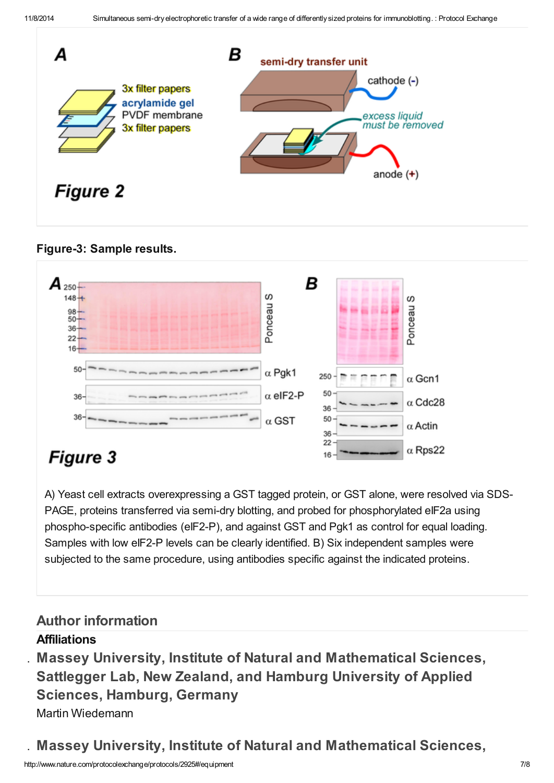

Figure-3: Sample results.



# **Figure 3**

A) Yeast cell extracts overexpressing a GST tagged protein, or GST alone, were resolved via SDS-PAGE, proteins transferred via semi-dry blotting, and probed for phosphorylated eIF2a using phospho-specific antibodies (eIF2-P), and against GST and Pgk1 as control for equal loading. Samples with low eIF2-P levels can be clearly identified. B) Six independent samples were subjected to the same procedure, using antibodies specific against the indicated proteins.

## Author [information](javascript:;)

### **Affiliations**

1. Massey University, Institute of Natural and Mathematical Sciences, Sattlegger Lab, New Zealand, and Hamburg University of Applied Sciences, Hamburg, Germany Martin Wiedemann

2. Massey University, Institute of Natural and Mathematical Sciences,